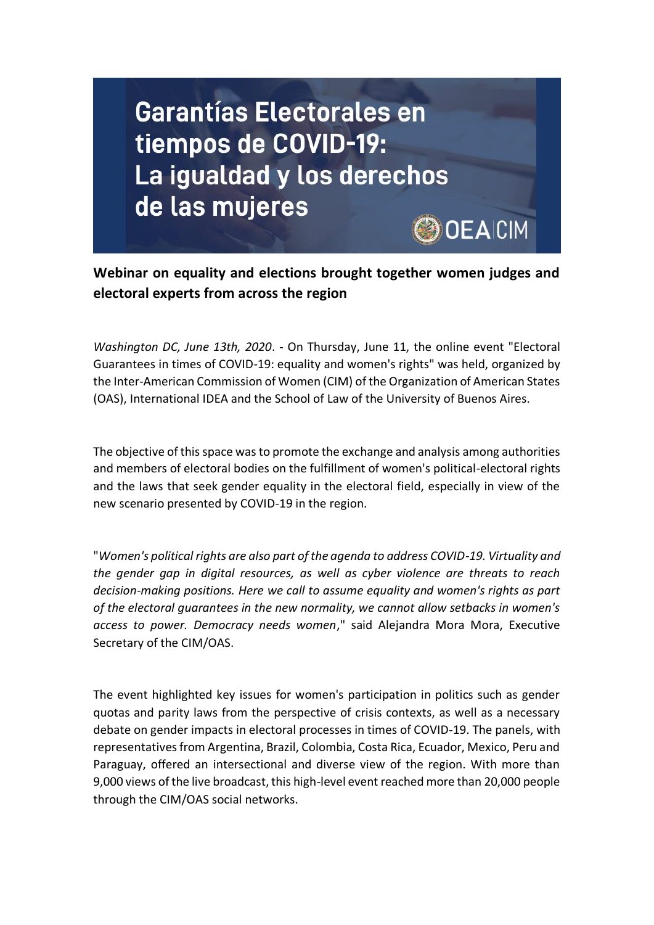

**Webinar on equality and elections brought together women judges and electoral experts from across the region**

*Washington DC, June 13th, 2020*. - On Thursday, June 11, the online event "Electoral Guarantees in times of COVID-19: equality and women's rights" was held, organized by the Inter-American Commission of Women (CIM) of the Organization of American States (OAS), International IDEA and the School of Law of the University of Buenos Aires.

The objective of this space was to promote the exchange and analysis among authorities and members of electoral bodies on the fulfillment of women's political-electoral rights and the laws that seek gender equality in the electoral field, especially in view of the new scenario presented by COVID-19 in the region.

"*Women's political rights are also part of the agenda to address COVID-19. Virtuality and the gender gap in digital resources, as well as cyber violence are threats to reach decision-making positions. Here we call to assume equality and women's rights as part of the electoral guarantees in the new normality, we cannot allow setbacks in women's access to power. Democracy needs women*," said Alejandra Mora Mora, Executive Secretary of the CIM/OAS.

The event highlighted key issues for women's participation in politics such as gender quotas and parity laws from the perspective of crisis contexts, as well as a necessary debate on gender impacts in electoral processes in times of COVID-19. The panels, with representatives from Argentina, Brazil, Colombia, Costa Rica, Ecuador, Mexico, Peru and Paraguay, offered an intersectional and diverse view of the region. With more than 9,000 views of the live broadcast, this high-level event reached more than 20,000 people through the CIM/OAS social networks.